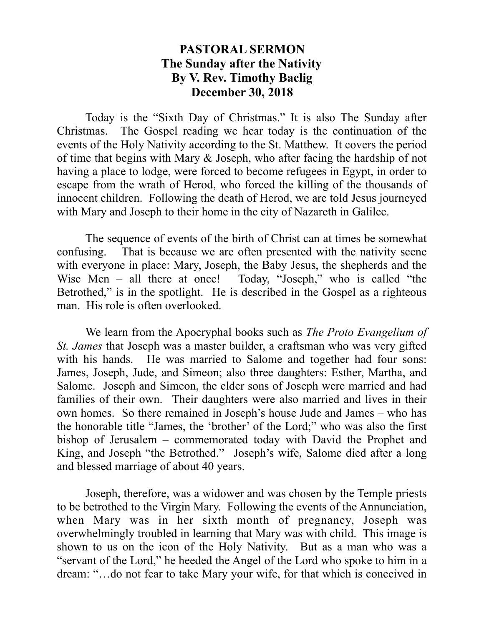## **PASTORAL SERMON The Sunday after the Nativity By V. Rev. Timothy Baclig December 30, 2018**

Today is the "Sixth Day of Christmas." It is also The Sunday after Christmas. The Gospel reading we hear today is the continuation of the events of the Holy Nativity according to the St. Matthew. It covers the period of time that begins with Mary & Joseph, who after facing the hardship of not having a place to lodge, were forced to become refugees in Egypt, in order to escape from the wrath of Herod, who forced the killing of the thousands of innocent children. Following the death of Herod, we are told Jesus journeyed with Mary and Joseph to their home in the city of Nazareth in Galilee.

The sequence of events of the birth of Christ can at times be somewhat confusing. That is because we are often presented with the nativity scene with everyone in place: Mary, Joseph, the Baby Jesus, the shepherds and the Wise Men – all there at once! Today, "Joseph," who is called "the Betrothed," is in the spotlight. He is described in the Gospel as a righteous man. His role is often overlooked.

We learn from the Apocryphal books such as *The Proto Evangelium of St. James* that Joseph was a master builder, a craftsman who was very gifted with his hands. He was married to Salome and together had four sons: James, Joseph, Jude, and Simeon; also three daughters: Esther, Martha, and Salome. Joseph and Simeon, the elder sons of Joseph were married and had families of their own. Their daughters were also married and lives in their own homes. So there remained in Joseph's house Jude and James – who has the honorable title "James, the 'brother' of the Lord;" who was also the first bishop of Jerusalem – commemorated today with David the Prophet and King, and Joseph "the Betrothed." Joseph's wife, Salome died after a long and blessed marriage of about 40 years.

Joseph, therefore, was a widower and was chosen by the Temple priests to be betrothed to the Virgin Mary. Following the events of the Annunciation, when Mary was in her sixth month of pregnancy, Joseph was overwhelmingly troubled in learning that Mary was with child. This image is shown to us on the icon of the Holy Nativity. But as a man who was a "servant of the Lord," he heeded the Angel of the Lord who spoke to him in a dream: "…do not fear to take Mary your wife, for that which is conceived in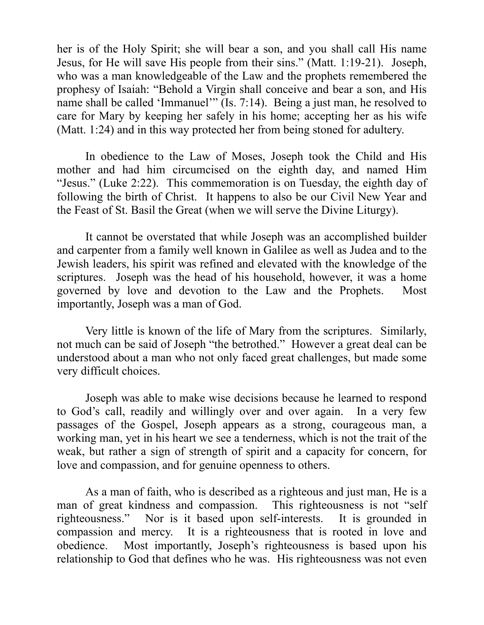her is of the Holy Spirit; she will bear a son, and you shall call His name Jesus, for He will save His people from their sins." (Matt. 1:19-21). Joseph, who was a man knowledgeable of the Law and the prophets remembered the prophesy of Isaiah: "Behold a Virgin shall conceive and bear a son, and His name shall be called 'Immanuel'" (Is. 7:14). Being a just man, he resolved to care for Mary by keeping her safely in his home; accepting her as his wife (Matt. 1:24) and in this way protected her from being stoned for adultery.

In obedience to the Law of Moses, Joseph took the Child and His mother and had him circumcised on the eighth day, and named Him "Jesus." (Luke 2:22). This commemoration is on Tuesday, the eighth day of following the birth of Christ. It happens to also be our Civil New Year and the Feast of St. Basil the Great (when we will serve the Divine Liturgy).

It cannot be overstated that while Joseph was an accomplished builder and carpenter from a family well known in Galilee as well as Judea and to the Jewish leaders, his spirit was refined and elevated with the knowledge of the scriptures. Joseph was the head of his household, however, it was a home governed by love and devotion to the Law and the Prophets. Most importantly, Joseph was a man of God.

Very little is known of the life of Mary from the scriptures. Similarly, not much can be said of Joseph "the betrothed." However a great deal can be understood about a man who not only faced great challenges, but made some very difficult choices.

Joseph was able to make wise decisions because he learned to respond to God's call, readily and willingly over and over again. In a very few passages of the Gospel, Joseph appears as a strong, courageous man, a working man, yet in his heart we see a tenderness, which is not the trait of the weak, but rather a sign of strength of spirit and a capacity for concern, for love and compassion, and for genuine openness to others.

As a man of faith, who is described as a righteous and just man, He is a man of great kindness and compassion. This righteousness is not "self righteousness." Nor is it based upon self-interests. It is grounded in compassion and mercy. It is a righteousness that is rooted in love and obedience. Most importantly, Joseph's righteousness is based upon his relationship to God that defines who he was. His righteousness was not even